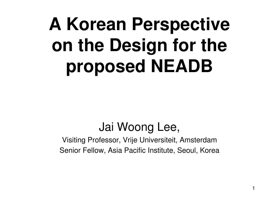# **A Korean Perspective on the Design for the proposed NEADB**

### Jai Woong Lee,

Visiting Professor, Vrije Universiteit, AmsterdamSenior Fellow, Asia Pacific Institute, Seoul, Korea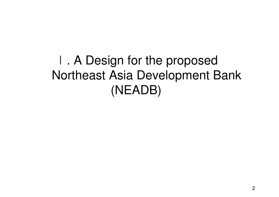Ⅰ. A Design for the proposed Northeast Asia Development Bank(NEADB)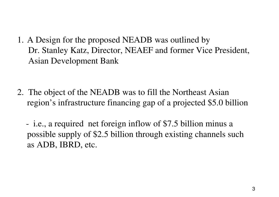1. A Design for the proposed NEADB was outlined by Dr. Stanley Katz, Director, NEAEF and former Vice President,Asian Development Bank

2. The object of the NEADB was to fill the Northeast Asian region's infrastructure financing gap of a projected \$5.0 billion

 i.e., a required net foreign inflow of \$7.5 billion minus a possible supply of \$2.5 billion through existing channels such as ADB, IBRD, etc.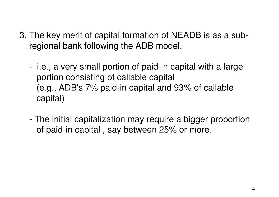- 3. The key merit of capital formation of NEADB is as a subregional bank following the ADB model,
	- i.e., a very small portion of paid-in capital with a largeportion consisting of callable capital(e.g., ADB's 7% paid-in capital and 93% of callablecapital)
	- - The initial capitalization may require a bigger proportionof paid-in capital , say between 25% or more.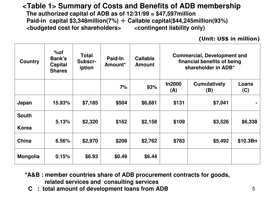#### **<Table 1> Summary of Costs and Benefits of ADB membership**

**The authorized capital of ADB as of 12/31/99 = \$47,597million Paid-in capital \$3,348million(7%)** + **Callable capital(\$44,245million(93%) <budgeted cost for shareholders> <contingent liability only)**

(Unit: US\$ in million)

| <b>Country</b>               | $%$ of<br><b>Bank's</b><br>Capital<br><b>Shares</b> | <b>Total</b><br>Subscr-<br>iption | Paid-In<br>Amount <sup>*</sup> | <b>Callable</b><br><b>Amount</b> | <b>Commercial, Development and</b><br>financial benefits of being<br>shareholder in ADB* |                            |              |
|------------------------------|-----------------------------------------------------|-----------------------------------|--------------------------------|----------------------------------|------------------------------------------------------------------------------------------|----------------------------|--------------|
|                              |                                                     |                                   | 7%                             | 93%                              | <b>In2000</b><br>(A)                                                                     | <b>Cumulatively</b><br>(B) | Loans<br>(C) |
| Japan                        | 15.93%                                              | \$7,185                           | \$504                          | \$6,681                          | \$131                                                                                    | \$7,041                    |              |
| <b>South</b><br><b>Korea</b> | 5.13%                                               | \$2,320                           | \$162                          | \$2,158                          | \$109                                                                                    | \$3,526                    | \$6,338      |
| China                        | 6.56%                                               | \$2,970                           | \$208                          | \$2,762                          | \$783                                                                                    | \$5,492                    | \$10.3Bn     |
| <b>Mongolia</b>              | 0.15%                                               | \$6.93                            | \$0.49                         | \$6.44                           |                                                                                          |                            |              |

- **\*A&B : member countries share of ADB procurement contracts for goods, related services and consulting services**
	- **C : total amount of development loans from ADB**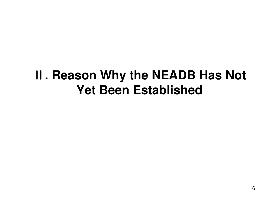### **. Reason Why the NEADB Has Not Yet Been Established**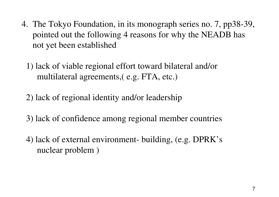- 4. The Tokyo Foundation, in its monograph series no. 7, pp38-39,pointed out the following 4 reasons for why the NEADB hasnot yet been established
	- 1) lack of viable regional effort toward bilateral and/or multilateral agreements,( e.g. FTA, etc.)
	- 2) lack of regional identity and/or leadership
	- 3) lack of confidence among regional member countries
	- 4) lack of external environment- building, (e.g. DPRK'snuclear problem )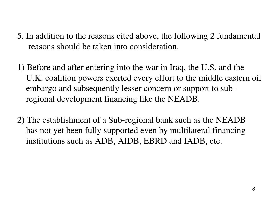- 5. In addition to the reasons cited above, the following 2 fundamental reasons should be taken into consideration.
- 1) Before and after entering into the war in Iraq, the U.S. and the U.K. coalition powers exerted every effort to the middle eastern oilembargo and subsequently lesser concern or support to subregional development financing like the NEADB.
- 2) The establishment of a Sub-regional bank such as the NEADB has not yet been fully supported even by multilateral financinginstitutions such as ADB, AfDB, EBRD and IADB, etc.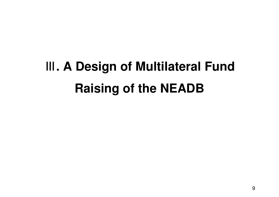## **. A Design of Multilateral Fund Raising of the NEADB**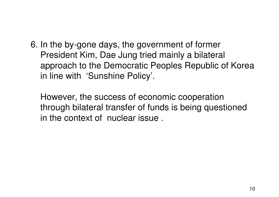6. In the by-gone days, the government of formerPresident Kim, Dae Jung tried mainly a bilateral approach to the Democratic Peoples Republic of Koreain line with 'Sunshine Policy'.

However, the success of economic cooperation through bilateral transfer of funds is being questionedin the context of nuclear issue .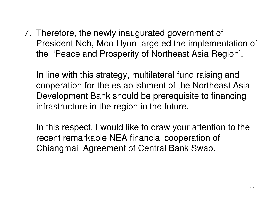7. Therefore, the newly inaugurated government of President Noh, Moo Hyun targeted the implementation ofthe 'Peace and Prosperity of Northeast Asia Region'.

In line with this strategy, multilateral fund raising and cooperation for the establishment of the Northeast Asia Development Bank should be prerequisite to financinginfrastructure in the region in the future.

In this respect, I would like to draw your attention to therecent remarkable NEA financial cooperation of Chiangmai Agreement of Central Bank Swap.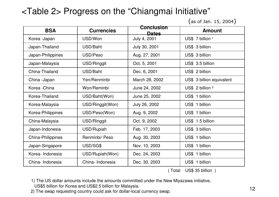#### <Table 2> Progress on the "Chiangmai Initiative"

(as of Jan. 15, 2004 )

| <b>BSA</b>               | <b>Currencies</b> | <b>Conclusion</b><br>Dates | <b>Amount</b>               |
|--------------------------|-------------------|----------------------------|-----------------------------|
| Korea - Japan            | USD/Won           | July 4, 2001               | US\$ 7 billion 1            |
| Japan-Thailand           | USD/Baht          | July 30, 2001              | US\$ 3 billion              |
| Japan-Philippines        | USD/Peso          | Aug. 27, 2001              | US\$ 3 billion              |
| Japan-Malaysia           | USD/Ringgit       | Oct. 5, 2001               | US\$ 3.5 billion            |
| China-Thailand           | USD/Baht          | Dec. 6, 2001               | US\$ 2 billion              |
| China - Japan            | Yen/Renminbi      | March 28, 2002             | US\$ 3 billion equivalent   |
| Korea - China            | Won/Reminbi       | June 24, 2002              | US\$ 2 billion <sup>2</sup> |
| Korea-Thailand           | USD/Baht(Won)     | June 25, 2002              | US\$ 1 billion              |
| Korea-Malaysia           | USD/Ringgit(Won)  | July 26, 2002              | US\$ 1 billion              |
| Korea-Philippines        | USD/Peso(Won)     | Aug. 9, 2002               | US\$ 1 billion              |
| China-Malaysia           | USD/Ringgit       | Oct. 9, 2002               | US\$ 1.5 billion            |
| Japan-Indonesia          | USD/Rupiah        | Feb. 17, 2003              | US\$ 3 billion              |
| <b>China-Philippines</b> | Renminbi/ Peso    | Aug. 30, 2003              | US\$ 1 billion              |
| Japan-Singapore          | USD/SG\$          | Nov. 10, 2003              | US\$ 1 billion              |
| Korea- Indonesia         | USD/Rupiah(Won)   | Dec. 24, 2003              | US\$ 1 billion              |
| China-Indonesia          | China- Indonesia  | Dec. 30, 2003              | US\$ 1 billion              |

( Total US\$ 35 billion )

1) The US dollar amounts include the amounts committed under the New Miyazawa initiative, US\$5 billion for Korea and US\$2.5 billion for Malaysia.

2) The swap requesting country could ask for dollar-local currency swap.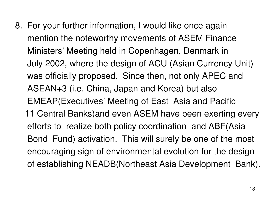8. For your further information, I would like once againmention the noteworthy movements of ASEM FinanceMinisters' Meeting held in Copenhagen, Denmark inJuly 2002, where the design of ACU (Asian Currency Unit)was officially proposed. Since then, not only APEC and ASEAN+3 (i.e. China, Japan and Korea) but alsoEMEAP(Executives' Meeting of East Asia and Pacific 11 Central Banks)and even ASEM have been exerting everyefforts to realize both policy coordination and ABF(Asia Bond Fund) activation. This will surely be one of the mostencouraging sign of environmental evolution for the design of establishing NEADB(Northeast Asia Development Bank).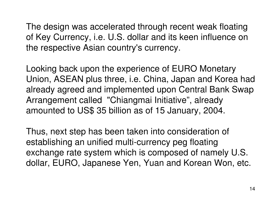The design was accelerated through recent weak floating of Key Currency, i.e. U.S. dollar and its keen influence on the respective Asian country's currency.

Looking back upon the experience of EURO Monetary Union, ASEAN plus three, i.e. China, Japan and Korea had already agreed and implemented upon Central Bank Swap Arrangement called "Chiangmai Initiative", already amounted to US\$ 35 billion as of 15 January, 2004.

Thus, next step has been taken into consideration of establishing an unified multi-currency peg floating exchange rate system which is composed of namely U.S. dollar, EURO, Japanese Yen, Yuan and Korean Won, etc.